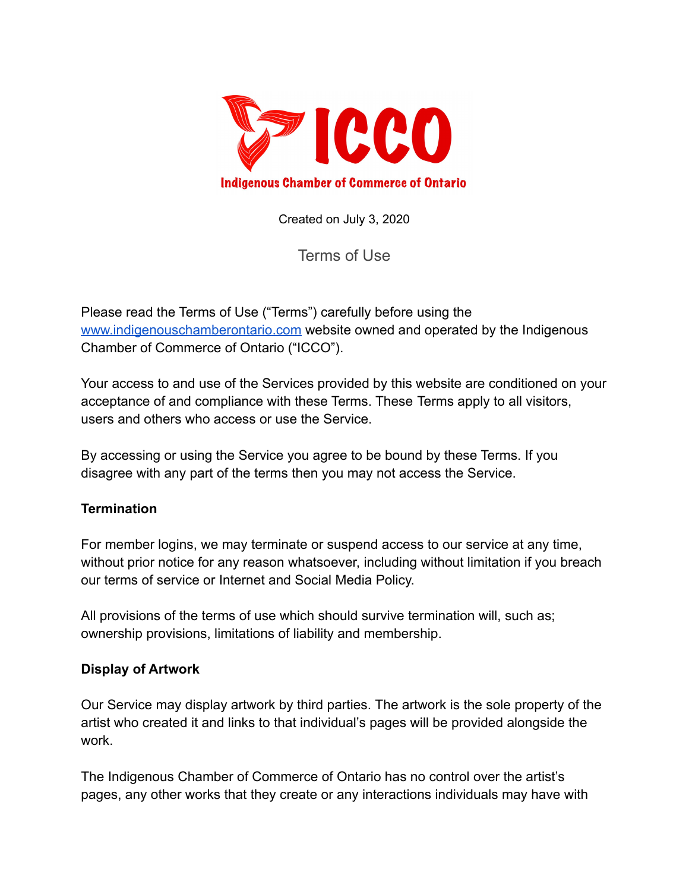

Created on July 3, 2020

Terms of Use

Please read the Terms of Use ("Terms") carefully before using the [www.indigenouschamberontario.com](http://www.aboriginalchamber.com) website owned and operated by the Indigenous Chamber of Commerce of Ontario ("ICCO").

Your access to and use of the Services provided by this website are conditioned on your acceptance of and compliance with these Terms. These Terms apply to all visitors, users and others who access or use the Service.

By accessing or using the Service you agree to be bound by these Terms. If you disagree with any part of the terms then you may not access the Service.

### **Termination**

For member logins, we may terminate or suspend access to our service at any time, without prior notice for any reason whatsoever, including without limitation if you breach our terms of service or Internet and Social Media Policy.

All provisions of the terms of use which should survive termination will, such as; ownership provisions, limitations of liability and membership.

#### **Display of Artwork**

Our Service may display artwork by third parties. The artwork is the sole property of the artist who created it and links to that individual's pages will be provided alongside the work.

The Indigenous Chamber of Commerce of Ontario has no control over the artist's pages, any other works that they create or any interactions individuals may have with